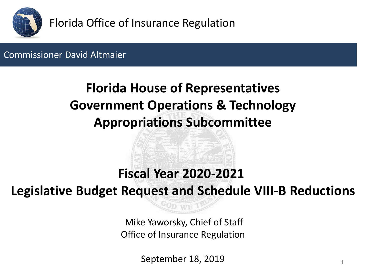

## Commissioner David Altmaier

# **Florida House of Representatives Government Operations & Technology Appropriations Subcommittee**

# **Fiscal Year 2020-2021**

**Legislative Budget Request and Schedule VIII-B Reductions**

Mike Yaworsky, Chief of Staff Office of Insurance Regulation

September 18, 2019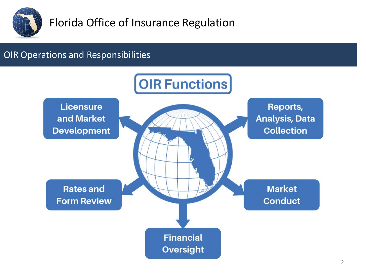

### OIR Operations and Responsibilities

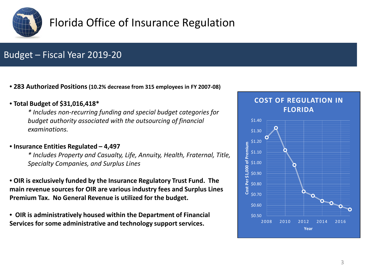

## Budget – Fiscal Year 2019-20

• **283 Authorized Positions (10.2% decrease from 315 employees in FY 2007-08)**

#### • **Total Budget of \$31,016,418\***

*\* Includes non-recurring funding and special budget categories for budget authority associated with the outsourcing of financial examinations.* 

#### • **Insurance Entities Regulated – 4,497**

*\* Includes Property and Casualty, Life, Annuity, Health, Fraternal, Title, Specialty Companies, and Surplus Lines*

• **OIR is exclusively funded by the Insurance Regulatory Trust Fund. The main revenue sources for OIR are various industry fees and Surplus Lines Premium Tax. No General Revenue is utilized for the budget.**

• **OIR is administratively housed within the Department of Financial Services for some administrative and technology support services.**

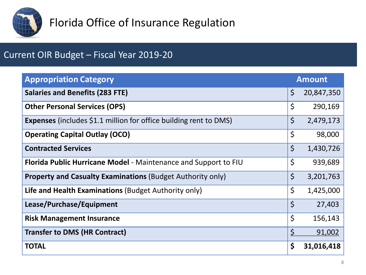

## Current OIR Budget – Fiscal Year 2019-20

| <b>Appropriation Category</b>                                            | <b>Amount</b> |            |
|--------------------------------------------------------------------------|---------------|------------|
| <b>Salaries and Benefits (283 FTE)</b>                                   | $\zeta$       | 20,847,350 |
| <b>Other Personal Services (OPS)</b>                                     | \$            | 290,169    |
| <b>Expenses</b> (includes \$1.1 million for office building rent to DMS) | $\zeta$       | 2,479,173  |
| <b>Operating Capital Outlay (OCO)</b>                                    | \$            | 98,000     |
| <b>Contracted Services</b>                                               | $\zeta$       | 1,430,726  |
| Florida Public Hurricane Model - Maintenance and Support to FIU          | \$            | 939,689    |
| <b>Property and Casualty Examinations (Budget Authority only)</b>        | \$            | 3,201,763  |
| Life and Health Examinations (Budget Authority only)                     | \$            | 1,425,000  |
| Lease/Purchase/Equipment                                                 | $\zeta$       | 27,403     |
| <b>Risk Management Insurance</b>                                         | $\zeta$       | 156,143    |
| <b>Transfer to DMS (HR Contract)</b>                                     | $\varsigma$   | 91,002     |
| <b>TOTAL</b>                                                             | \$            | 31,016,418 |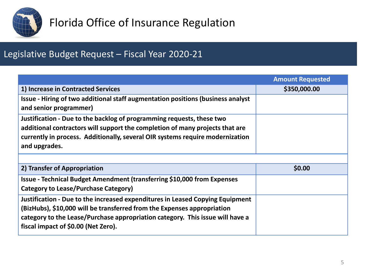

## Legislative Budget Request – Fiscal Year 2020-21

|                                                                                                                                                                                                                                                                                  | <b>Amount Requested</b> |
|----------------------------------------------------------------------------------------------------------------------------------------------------------------------------------------------------------------------------------------------------------------------------------|-------------------------|
| 1) Increase in Contracted Services                                                                                                                                                                                                                                               | \$350,000.00            |
| Issue - Hiring of two additional staff augmentation positions (business analyst<br>and senior programmer)                                                                                                                                                                        |                         |
| Justification - Due to the backlog of programming requests, these two<br>additional contractors will support the completion of many projects that are<br>currently in process. Additionally, several OIR systems require modernization<br>and upgrades.                          |                         |
|                                                                                                                                                                                                                                                                                  |                         |
| 2) Transfer of Appropriation                                                                                                                                                                                                                                                     | \$0.00                  |
| <b>Issue - Technical Budget Amendment (transferring \$10,000 from Expenses</b><br>Category to Lease/Purchase Category)                                                                                                                                                           |                         |
| Justification - Due to the increased expenditures in Leased Copying Equipment<br>(BizHubs), \$10,000 will be transferred from the Expenses appropriation<br>category to the Lease/Purchase appropriation category. This issue will have a<br>fiscal impact of \$0.00 (Net Zero). |                         |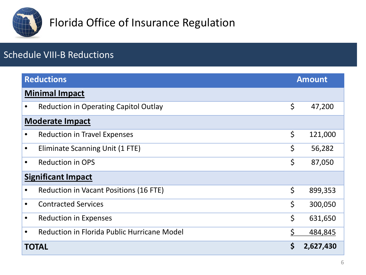

## Schedule VIII-B Reductions

|                           | <b>Reductions</b>                            | <b>Amount</b> |           |  |  |  |
|---------------------------|----------------------------------------------|---------------|-----------|--|--|--|
|                           | <b>Minimal Impact</b>                        |               |           |  |  |  |
|                           | <b>Reduction in Operating Capitol Outlay</b> | \$            | 47,200    |  |  |  |
|                           | <b>Moderate Impact</b>                       |               |           |  |  |  |
|                           | <b>Reduction in Travel Expenses</b>          | \$            | 121,000   |  |  |  |
| $\bullet$                 | Eliminate Scanning Unit (1 FTE)              | \$            | 56,282    |  |  |  |
| $\bullet$                 | <b>Reduction in OPS</b>                      | \$            | 87,050    |  |  |  |
| <b>Significant Impact</b> |                                              |               |           |  |  |  |
| $\bullet$                 | Reduction in Vacant Positions (16 FTE)       | \$            | 899,353   |  |  |  |
| $\bullet$                 | <b>Contracted Services</b>                   | \$            | 300,050   |  |  |  |
| $\bullet$                 | <b>Reduction in Expenses</b>                 | \$            | 631,650   |  |  |  |
| $\bullet$                 | Reduction in Florida Public Hurricane Model  | Ś             | 484,845   |  |  |  |
|                           | <b>TOTAL</b>                                 |               | 2,627,430 |  |  |  |